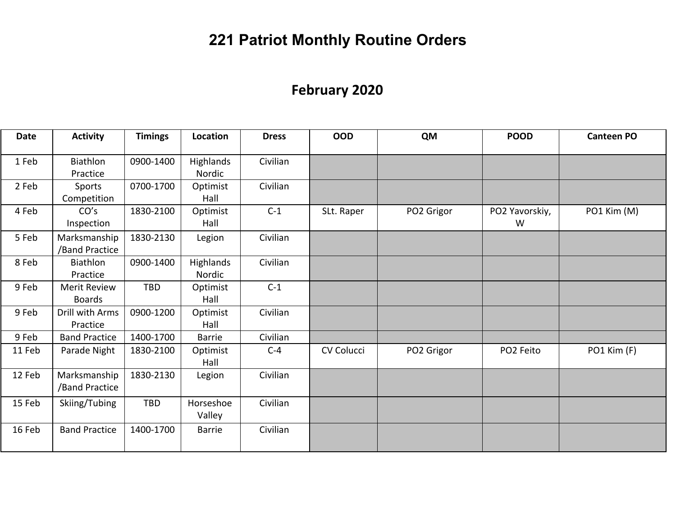# **221 Patriot Monthly Routine Orders**

## **February 2020**

| <b>Date</b> | <b>Activity</b>                | <b>Timings</b> | Location            | <b>Dress</b> | <b>OOD</b> | <b>QM</b>  | <b>POOD</b>         | <b>Canteen PO</b> |
|-------------|--------------------------------|----------------|---------------------|--------------|------------|------------|---------------------|-------------------|
| 1 Feb       | Biathlon<br>Practice           | 0900-1400      | Highlands<br>Nordic | Civilian     |            |            |                     |                   |
| 2 Feb       | Sports<br>Competition          | 0700-1700      | Optimist<br>Hall    | Civilian     |            |            |                     |                   |
| 4 Feb       | CO's<br>Inspection             | 1830-2100      | Optimist<br>Hall    | $C-1$        | SLt. Raper | PO2 Grigor | PO2 Yavorskiy,<br>W | PO1 Kim (M)       |
| 5 Feb       | Marksmanship<br>/Band Practice | 1830-2130      | Legion              | Civilian     |            |            |                     |                   |
| 8 Feb       | Biathlon<br>Practice           | 0900-1400      | Highlands<br>Nordic | Civilian     |            |            |                     |                   |
| 9 Feb       | Merit Review<br><b>Boards</b>  | <b>TBD</b>     | Optimist<br>Hall    | $C-1$        |            |            |                     |                   |
| 9 Feb       | Drill with Arms<br>Practice    | 0900-1200      | Optimist<br>Hall    | Civilian     |            |            |                     |                   |
| 9 Feb       | <b>Band Practice</b>           | 1400-1700      | <b>Barrie</b>       | Civilian     |            |            |                     |                   |
| 11 Feb      | Parade Night                   | 1830-2100      | Optimist<br>Hall    | $C-4$        | CV Colucci | PO2 Grigor | PO2 Feito           | PO1 Kim (F)       |
| 12 Feb      | Marksmanship<br>/Band Practice | 1830-2130      | Legion              | Civilian     |            |            |                     |                   |
| 15 Feb      | Skiing/Tubing                  | TBD            | Horseshoe<br>Valley | Civilian     |            |            |                     |                   |
| 16 Feb      | <b>Band Practice</b>           | 1400-1700      | <b>Barrie</b>       | Civilian     |            |            |                     |                   |